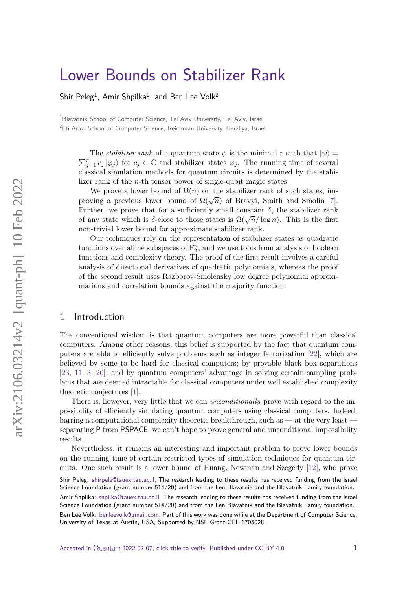# [Lower Bounds on Stabilizer Rank](https://quantum-journal.org/?s=Lower%20Bounds%20on%20Stabilizer%20Rank&reason=title-click)

Shir Peleg<sup>1</sup>, Amir Shpilka<sup>1</sup>, and Ben Lee Volk<sup>2</sup>

<sup>1</sup>Blavatnik School of Computer Science, Tel Aviv University, Tel Aviv, Israel <sup>2</sup>Efi Arazi School of Computer Science, Reichman University, Herzliya, Israel

The *stabilizer rank* of a quantum state  $\psi$  is the minimal *r* such that  $|\psi\rangle =$  $\sum_{j=1}^{r} c_j |\varphi_j\rangle$  for  $c_j \in \mathbb{C}$  and stabilizer states  $\varphi_j$ . The running time of several classical simulation methods for quantum circuits is determined by the stabilizer rank of the *n*-th tensor power of single-qubit magic states.

We prove a lower bound of  $\Omega(n)$  on the stabilizer rank of such states, imwe prove a lower bound of  $\Omega(\sqrt{n})$  of Bravyi, Smith and Smolin [\[7\]](#page-15-0). Further, we prove that for a sufficiently small constant  $\delta$ , the stabilizer rank of any state which is *<sup>δ</sup>*-close to those states is Ω(<sup>√</sup> *n/* log *n*). This is the first non-trivial lower bound for approximate stabilizer rank.

Our techniques rely on the representation of stabilizer states as quadratic functions over affine subspaces of  $\mathbb{F}_2^n$ , and we use tools from analysis of boolean functions and complexity theory. The proof of the first result involves a careful analysis of directional derivatives of quadratic polynomials, whereas the proof of the second result uses Razborov-Smolensky low degree polynomial approximations and correlation bounds against the majority function.

## 1 Introduction

The conventional wisdom is that quantum computers are more powerful than classical computers. Among other reasons, this belief is supported by the fact that quantum computers are able to efficiently solve problems such as integer factorization [\[22\]](#page-16-0), which are believed by some to be hard for classical computers; by provable black box separations [\[23,](#page-16-1) [11,](#page-15-1) [3,](#page-15-2) [20\]](#page-16-2); and by quantum computers' advantage in solving certain sampling problems that are deemed intractable for classical computers under well established complexity theoretic conjectures [\[1\]](#page-15-3).

There is, however, very little that we can *unconditionally* prove with regard to the impossibility of efficiently simulating quantum computers using classical computers. Indeed, barring a computational complexity theoretic breakthrough, such as — at the very least separating P from PSPACE, we can't hope to prove general and unconditional impossibility results.

Nevertheless, it remains an interesting and important problem to prove lower bounds on the running time of certain restricted types of simulation techniques for quantum circuits. One such result is a lower bound of Huang, Newman and Szegedy [\[12\]](#page-15-4), who prove

Shir Peleg: [shirpele@tauex.tau.ac.il,](mailto:shirpele@tauex.tau.ac.il) The research leading to these results has received funding from the Israel Science Foundation (grant number 514/20) and from the Len Blavatnik and the Blavatnik Family foundation.

Amir Shpilka: [shpilka@tauex.tau.ac.il,](mailto:shpilka@tauex.tau.ac.il) The research leading to these results has received funding from the Israel Science Foundation (grant number 514/20) and from the Len Blavatnik and the Blavatnik Family foundation.

Ben Lee Volk: [benleevolk@gmail.com,](mailto:benleevolk@gmail.com) Part of this work was done while at the Department of Computer Science, University of Texas at Austin, USA, Supported by NSF Grant CCF-1705028.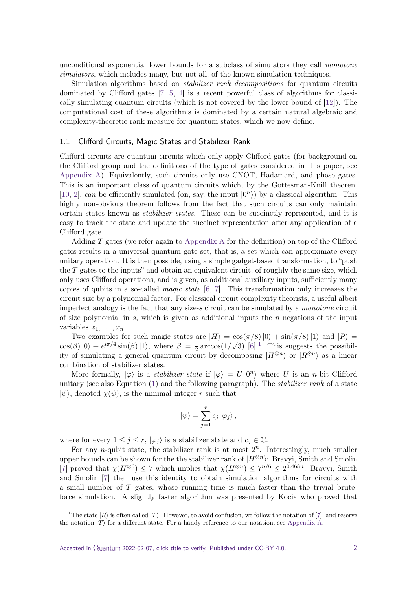unconditional exponential lower bounds for a subclass of simulators they call monotone simulators, which includes many, but not all, of the known simulation techniques.

Simulation algorithms based on stabilizer rank decompositions for quantum circuits dominated by Clifford gates [\[7,](#page-15-0) [5,](#page-15-5) [4\]](#page-15-6) is a recent powerful class of algorithms for classically simulating quantum circuits (which is not covered by the lower bound of [\[12\]](#page-15-4)). The computational cost of these algorithms is dominated by a certain natural algebraic and complexity-theoretic rank measure for quantum states, which we now define.

## <span id="page-1-1"></span>1.1 Clifford Circuits, Magic States and Stabilizer Rank

Clifford circuits are quantum circuits which only apply Clifford gates (for background on the Clifford group and the definitions of the type of gates considered in this paper, see [Appendix A\)](#page-16-3). Equivalently, such circuits only use CNOT, Hadamard, and phase gates. This is an important class of quantum circuits which, by the Gottesman-Knill theorem [\[10,](#page-15-7) [2\]](#page-15-8), can be efficiently simulated (on, say, the input  $|0^n\rangle$ ) by a classical algorithm. This highly non-obvious theorem follows from the fact that such circuits can only maintain certain states known as stabilizer states. These can be succinctly represented, and it is easy to track the state and update the succinct representation after any application of a Clifford gate.

Adding *T* gates (we refer again to [Appendix A](#page-16-3) for the definition) on top of the Clifford gates results in a universal quantum gate set, that is, a set which can approximate every unitary operation. It is then possible, using a simple gadget-based transformation, to "push the *T* gates to the inputs" and obtain an equivalent circuit, of roughly the same size, which only uses Clifford operations, and is given, as additional auxiliary inputs, sufficiently many copies of qubits in a so-called *magic state*  $[6, 7]$  $[6, 7]$  $[6, 7]$ . This transformation only increases the circuit size by a polynomial factor. For classical circuit complexity theorists, a useful albeit imperfect analogy is the fact that any size-*s* circuit can be simulated by a monotone circuit of size polynomial in *s*, which is given as additional inputs the *n* negations of the input variables  $x_1, \ldots, x_n$ .

Two examples for such magic states are  $|H\rangle = \cos(\pi/8)|0\rangle + \sin(\pi/8)|1\rangle$  and  $|R\rangle =$  $\cos(\beta)|0\rangle + e^{i\pi/4}\sin(\beta)|1\rangle$ , where  $\beta = \frac{1}{2}$  $\frac{1}{2}$  $\frac{1}{2}$  $\frac{1}{2}$  arccos(1/ $\sqrt{3}$ ) [\[6\]](#page-15-9).<sup>1</sup> This suggests the possibility of simulating a general quantum circuit by decomposing  $|H^{\otimes n}\rangle$  or  $|R^{\otimes n}\rangle$  as a linear combination of stabilizer states.

More formally,  $|\varphi\rangle$  is a *stabilizer state* if  $|\varphi\rangle = U |0^n\rangle$  where *U* is an *n*-bit Clifford unitary (see also Equation  $(1)$  and the following paragraph). The *stabilizer rank* of a state  $|\psi\rangle$ , denoted  $\chi(\psi)$ , is the minimal integer *r* such that

$$
|\psi\rangle = \sum_{j=1}^{r} c_j | \varphi_j \rangle \,,
$$

where for every  $1 \leq j \leq r$ ,  $|\varphi_j\rangle$  is a stabilizer state and  $c_j \in \mathbb{C}$ .

For any *n*-qubit state, the stabilizer rank is at most  $2^n$ . Interestingly, much smaller upper bounds can be shown for the the stabilizer rank of  $|H^{\otimes n}\rangle$ : Bravyi, Smith and Smolin [\[7\]](#page-15-0) proved that  $\chi(H^{\otimes 6}) \leq 7$  which implies that  $\chi(H^{\otimes n}) \leq 7^{n/6} \leq 2^{0.468n}$ . Bravyi, Smith and Smolin [\[7\]](#page-15-0) then use this identity to obtain simulation algorithms for circuits with a small number of *T* gates, whose running time is much faster than the trivial bruteforce simulation. A slightly faster algorithm was presented by Kocia who proved that

<span id="page-1-0"></span><sup>&</sup>lt;sup>1</sup>The state  $|R\rangle$  is often called  $|T\rangle$ . However, to avoid confusion, we follow the notation of  $|7\rangle$ , and reserve the notation  $|T\rangle$  for a different state. For a handy reference to our notation, see [Appendix A.](#page-16-3)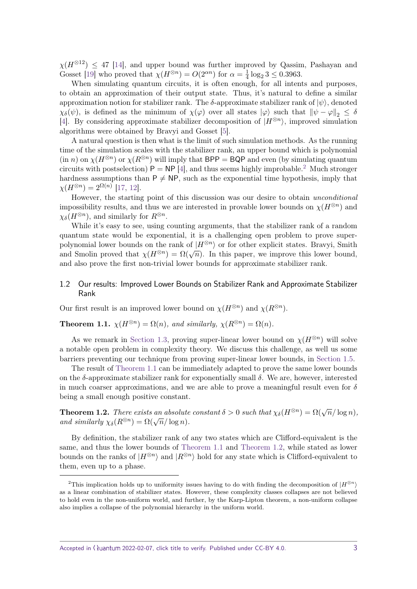$\chi(H^{\otimes 12}) \leq 47$  [\[14\]](#page-15-10), and upper bound was further improved by Qassim, Pashayan and Gosset [\[19\]](#page-16-4) who proved that  $\chi(H^{\otimes n}) = O(2^{\alpha n})$  for  $\alpha = \frac{1}{4}$  $\frac{1}{4} \log_2 3 \leq 0.3963.$ 

When simulating quantum circuits, it is often enough, for all intents and purposes, to obtain an approximation of their output state. Thus, it's natural to define a similar approximation notion for stabilizer rank. The  $\delta$ -approximate stabilizer rank of  $|\psi\rangle$ , denoted *χ*<sub>δ</sub>(*ψ*), is defined as the minimum of  $\chi(\varphi)$  over all states  $|\varphi\rangle$  such that  $||\psi - \varphi||_2 \leq \delta$ [\[4\]](#page-15-6). By considering approximate stabilizer decomposition of  $|H^{\otimes n}\rangle$ , improved simulation algorithms were obtained by Bravyi and Gosset [\[5\]](#page-15-5).

A natural question is then what is the limit of such simulation methods. As the running time of the simulation scales with the stabilizer rank, an upper bound which is polynomial  $(\text{in } n)$  on  $\chi(H^{\otimes n})$  or  $\chi(R^{\otimes n})$  will imply that BPP = BQP and even (by simulating quantum circuits with postselection)  $P = NP [4]$  $P = NP [4]$ , and thus seems highly improbable.<sup>[2](#page-2-0)</sup> Much stronger hardness assumptions than  $P \neq NP$ , such as the exponential time hypothesis, imply that  $\chi(H^{\otimes n}) = 2^{\Omega(n)}$  [\[17,](#page-15-11) [12\]](#page-15-4).

However, the starting point of this discussion was our desire to obtain unconditional impossibility results, and thus we are interested in provable lower bounds on  $\chi(H^{\otimes n})$  and  $\chi_{\delta}(H^{\otimes n})$ , and similarly for  $R^{\otimes n}$ .

While it's easy to see, using counting arguments, that the stabilizer rank of a random quantum state would be exponential, it is a challenging open problem to prove superpolynomial lower bounds on the rank of  $|H^{\otimes n}\rangle$  or for other explicit states. Bravyi, Smith polynomial lower bounds on the raing of  $\vert n \vert$  / or for other explicit states. Bravyi, simular and Smolin proved that  $\chi(H^{\otimes n}) = \Omega(\sqrt{n})$ . In this paper, we improve this lower bound, and also prove the first non-trivial lower bounds for approximate stabilizer rank.

## 1.2 Our results: Improved Lower Bounds on Stabilizer Rank and Approximate Stabilizer Rank

Our first result is an improved lower bound on  $\chi(H^{\otimes n})$  and  $\chi(R^{\otimes n})$ .

<span id="page-2-1"></span>**Theorem 1.1.**  $\chi(H^{\otimes n}) = \Omega(n)$ , and similarly,  $\chi(R^{\otimes n}) = \Omega(n)$ .

As we remark in [Section 1.3,](#page-3-1) proving super-linear lower bound on  $\chi(H^{\otimes n})$  will solve a notable open problem in complexity theory. We discuss this challenge, as well us some barriers preventing our technique from proving super-linear lower bounds, in [Section 1.5.](#page-5-0)

The result of [Theorem 1.1](#page-2-1) can be immediately adapted to prove the same lower bounds on the  $\delta$ -approximate stabilizer rank for exponentially small  $\delta$ . We are, however, interested in much coarser approximations, and we are able to prove a meaningful result even for *δ* being a small enough positive constant.

<span id="page-2-2"></span>**Theorem 1.2.** *There exists an absolute constant*  $\delta > 0$  *such that*  $\chi_{\delta}(H^{\otimes n}) = \Omega(\sqrt{n}/\log n)$ *, and similarly*  $\chi_{\delta}(R^{\otimes n}) = \Omega(\sqrt{n}/\log n)$ .

By definition, the stabilizer rank of any two states which are Clifford-equivalent is the same, and thus the lower bounds of [Theorem 1.1](#page-2-1) and [Theorem 1.2,](#page-2-2) while stated as lower bounds on the ranks of  $|H^{\otimes n}\rangle$  and  $|R^{\otimes n}\rangle$  hold for any state which is Clifford-equivalent to them, even up to a phase.

<span id="page-2-0"></span><sup>&</sup>lt;sup>2</sup>This implication holds up to uniformity issues having to do with finding the decomposition of  $|H^{\otimes n}\rangle$ as a linear combination of stabilizer states. However, these complexity classes collapses are not believed to hold even in the non-uniform world, and further, by the Karp-Lipton theorem, a non-uniform collapse also implies a collapse of the polynomial hierarchy in the uniform world.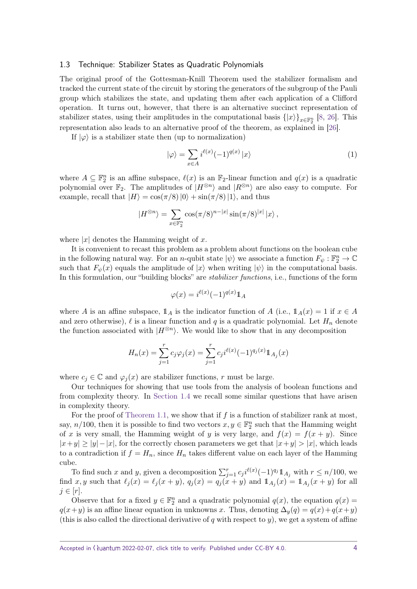#### <span id="page-3-1"></span>1.3 Technique: Stabilizer States as Quadratic Polynomials

The original proof of the Gottesman-Knill Theorem used the stabilizer formalism and tracked the current state of the circuit by storing the generators of the subgroup of the Pauli group which stabilizes the state, and updating them after each application of a Clifford operation. It turns out, however, that there is an alternative succinct representation of stabilizer states, using their amplitudes in the computational basis  $\{|x\rangle\}_{x \in \mathbb{F}_2^n}$  [\[8,](#page-15-12) [26\]](#page-16-5). This representation also leads to an alternative proof of the theorem, as explained in [\[26\]](#page-16-5).

If  $|\varphi\rangle$  is a stabilizer state then (up to normalization)

<span id="page-3-0"></span>
$$
|\varphi\rangle = \sum_{x \in A} i^{\ell(x)} (-1)^{q(x)} |x\rangle \tag{1}
$$

where  $A \subseteq \mathbb{F}_2^n$  is an affine subspace,  $\ell(x)$  is an  $\mathbb{F}_2$ -linear function and  $q(x)$  is a quadratic polynomial over  $\mathbb{F}_2$ . The amplitudes of  $|H^{\otimes n}\rangle$  and  $|R^{\otimes n}\rangle$  are also easy to compute. For example, recall that  $|H\rangle = \cos(\pi/8)|0\rangle + \sin(\pi/8)|1\rangle$ , and thus

$$
|H^{\otimes n}\rangle = \sum_{x\in\mathbb{F}_2^n} \cos(\pi/8)^{n-|x|} \sin(\pi/8)^{|x|} |x\rangle,
$$

where  $|x|$  denotes the Hamming weight of  $x$ .

It is convenient to recast this problem as a problem about functions on the boolean cube in the following natural way. For an *n*-qubit state  $|\psi\rangle$  we associate a function  $F_{\psi}: \mathbb{F}_2^n \to \mathbb{C}$ such that  $F_{\psi}(x)$  equals the amplitude of  $|x\rangle$  when writing  $|\psi\rangle$  in the computational basis. In this formulation, our "building blocks" are *stabilizer functions*, i.e., functions of the form

$$
\varphi(x) = i^{\ell(x)} (-1)^{q(x)} 1\!\!1_A
$$

where *A* is an affine subspace,  $1_A$  is the indicator function of *A* (i.e.,  $1_A(x) = 1$  if  $x \in A$ and zero otherwise),  $\ell$  is a linear function and  $q$  is a quadratic polynomial. Let  $H_n$  denote the function associated with  $|H^{\otimes n}\rangle$ . We would like to show that in any decomposition

$$
H_n(x) = \sum_{j=1}^r c_j \varphi_j(x) = \sum_{j=1}^r c_j i^{\ell(x)} (-1)^{q_j(x)} \mathbb{1}_{A_j}(x)
$$

where  $c_j \in \mathbb{C}$  and  $\varphi_i(x)$  are stabilizer functions, *r* must be large.

Our techniques for showing that use tools from the analysis of boolean functions and from complexity theory. In [Section 1.4](#page-4-0) we recall some similar questions that have arisen in complexity theory.

For the proof of [Theorem 1.1,](#page-2-1) we show that if  $f$  is a function of stabilizer rank at most, say,  $n/100$ , then it is possible to find two vectors  $x, y \in \mathbb{F}_2^n$  such that the Hamming weight of *x* is very small, the Hamming weight of *y* is very large, and  $f(x) = f(x + y)$ . Since  $|x+y| \ge |y| - |x|$ , for the correctly chosen parameters we get that  $|x+y| > |x|$ , which leads to a contradiction if  $f = H_n$ , since  $H_n$  takes different value on each layer of the Hamming cube.

To find such *x* and *y*, given a decomposition  $\sum_{j=1}^{r} c_j i^{\ell(x)} (-1)^{q_j} 1\!\!1_{A_j}$  with  $r \leq n/100$ , we find x, y such that  $\ell_j(x) = \ell_j(x+y)$ ,  $q_j(x) = q_j(x+y)$  and  $\mathbb{1}_{A_j}(x) = \mathbb{1}_{A_j}(x+y)$  for all  $j \in [r]$ .

Observe that for a fixed  $y \in \mathbb{F}_2^n$  and a quadratic polynomial  $q(x)$ , the equation  $q(x)$ *q*(*x*+*y*) is an affine linear equation in unknowns *x*. Thus, denoting  $\Delta_y(q) = q(x) + q(x+y)$ (this is also called the directional derivative of  $q$  with respect to  $y$ ), we get a system of affine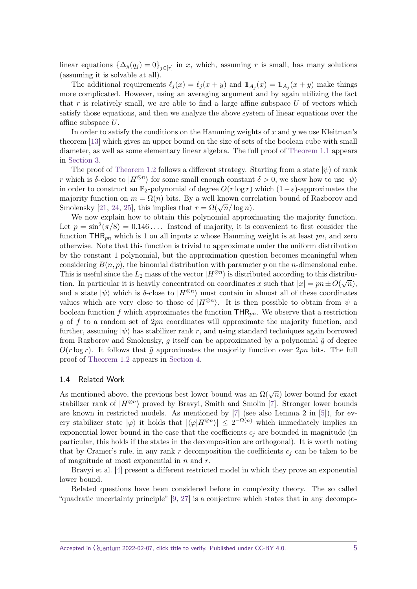linear equations  $\{\Delta_y(q_j) = 0\}_{j \in [r]}$  in *x*, which, assuming *r* is small, has many solutions (assuming it is solvable at all).

The additional requirements  $\ell_j(x) = \ell_j(x + y)$  and  $\mathbb{1}_{A_j}(x) = \mathbb{1}_{A_j}(x + y)$  make things more complicated. However, using an averaging argument and by again utilizing the fact that  $r$  is relatively small, we are able to find a large affine subspace  $U$  of vectors which satisfy those equations, and then we analyze the above system of linear equations over the affine subspace *U*.

In order to satisfy the conditions on the Hamming weights of *x* and *y* we use Kleitman's theorem [\[13\]](#page-15-13) which gives an upper bound on the size of sets of the boolean cube with small diameter, as well as some elementary linear algebra. The full proof of [Theorem 1.1](#page-2-1) appears in [Section 3.](#page-7-0)

The proof of [Theorem 1.2](#page-2-2) follows a different strategy. Starting from a state  $|\psi\rangle$  of rank *r* which is *δ*-close to  $|H^{\otimes n}\rangle$  for some small enough constant  $\delta > 0$ , we show how to use  $|\psi\rangle$ in order to construct an  $\mathbb{F}_2$ -polynomial of degree  $O(r \log r)$  which  $(1 - \varepsilon)$ -approximates the majority function on  $m = \Omega(n)$  bits. By a well known correlation bound of Razborov and Smolensky [\[21,](#page-16-6) [24,](#page-16-7) [25\]](#page-16-8), this implies that  $r = \Omega(\sqrt{n}/\log n)$ .

We now explain how to obtain this polynomial approximating the majority function. Let  $p = \sin^2(\pi/8) = 0.146...$  Instead of majority, it is convenient to first consider the function  $\text{THR}_{pn}$  which is 1 on all inputs x whose Hamming weight is at least pn, and zero otherwise. Note that this function is trivial to approximate under the uniform distribution by the constant 1 polynomial, but the approximation question becomes meaningful when considering  $B(n, p)$ , the binomial distribution with parameter p on the *n*-dimensional cube. This is useful since the  $L_2$  mass of the vector  $|H^{\otimes n}\rangle$  is distributed according to this distribution. In particular it is heavily concentrated on coordinates x such that  $|x| = pn \pm O(\sqrt{n}),$ and a state  $|\psi\rangle$  which is  $\delta$ -close to  $|H^{\otimes n}\rangle$  must contain in almost all of these coordinates values which are very close to those of  $|H^{\otimes n}\rangle$ . It is then possible to obtain from  $\psi$  a boolean function  $f$  which approximates the function  $\text{THR}_{pn}$ . We observe that a restriction *g* of *f* to a random set of 2*pn* coordinates will approximate the majority function, and further, assuming  $|\psi\rangle$  has stabilizer rank r, and using standard techniques again borrowed from Razborov and Smolensky,  $q$  itself can be approximated by a polynomial  $\tilde{q}$  of degree  $O(r \log r)$ . It follows that  $\tilde{g}$  approximates the majority function over 2*pn* bits. The full proof of [Theorem 1.2](#page-2-2) appears in [Section 4.](#page-9-0)

## <span id="page-4-0"></span>1.4 Related Work

As mentioned above, the previous best lower bound was an  $\Omega(\sqrt{n})$  lower bound for exact stabilizer rank of  $|H^{\otimes n}\rangle$  proved by Bravyi, Smith and Smolin [\[7\]](#page-15-0). Stronger lower bounds are known in restricted models. As mentioned by [\[7\]](#page-15-0) (see also Lemma 2 in [\[5\]](#page-15-5)), for every stabilizer state  $|\varphi\rangle$  it holds that  $|\langle \varphi|H^{\otimes n}\rangle| \leq 2^{-\Omega(n)}$  which immediately implies an exponential lower bound in the case that the coefficients  $c_i$  are bounded in magnitude (in particular, this holds if the states in the decomposition are orthogonal). It is worth noting that by Cramer's rule, in any rank  $r$  decomposition the coefficients  $c_j$  can be taken to be of magnitude at most exponential in *n* and *r*.

Bravyi et al. [\[4\]](#page-15-6) present a different restricted model in which they prove an exponential lower bound.

Related questions have been considered before in complexity theory. The so called "quadratic uncertainty principle" [\[9,](#page-15-14) [27\]](#page-16-9) is a conjecture which states that in any decompo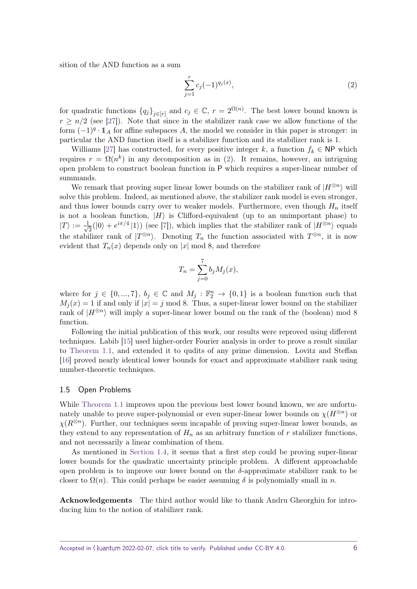sition of the AND function as a sum

<span id="page-5-1"></span>
$$
\sum_{j=1}^{r} c_j (-1)^{q_j(x)},\tag{2}
$$

for quadratic functions  ${q_j}_{j \in [r]}$  and  $c_j \in \mathbb{C}$ ,  $r = 2^{\Omega(n)}$ . The best lower bound known is  $r > n/2$  (see [\[27\]](#page-16-9)). Note that since in the stabilizer rank case we allow functions of the form  $(-1)^q \cdot 1_A$  for affine subspaces *A*, the model we consider in this paper is stronger: in particular the AND function itself is a stabilizer function and its stabilizer rank is 1.

Williams [\[27\]](#page-16-9) has constructed, for every positive integer *k*, a function  $f_k \in \mathsf{NP}$  which requires  $r = \Omega(n^k)$  in any decomposition as in [\(2\)](#page-5-1). It remains, however, an intriguing open problem to construct boolean function in P which requires a super-linear number of summands.

We remark that proving super linear lower bounds on the stabilizer rank of  $|H^{\otimes n}\rangle$  will solve this problem. Indeed, as mentioned above, the stabilizer rank model is even stronger, and thus lower bounds carry over to weaker models. Furthermore, even though  $H_n$  itself is not a boolean function,  $|H\rangle$  is Clifford-equivalent (up to an unimportant phase) to  $|T\rangle := \frac{1}{\sqrt{2}}$  $\frac{1}{2}(|0\rangle + e^{i\pi/4}|1\rangle)$  (see [\[7\]](#page-15-0)), which implies that the stabilizer rank of  $|H^{\otimes n}\rangle$  equals the stabilizer rank of  $|T^{\otimes n}\rangle$ . Denoting  $T_n$  the function associated with  $T^{\otimes n}$ , it is now evident that  $T_n(x)$  depends only on |x| mod 8, and therefore

$$
T_n = \sum_{j=0}^7 b_j M_j(x),
$$

where for  $j \in \{0, ..., 7\}$ ,  $b_j \in \mathbb{C}$  and  $M_j : \mathbb{F}_2^n \to \{0, 1\}$  is a boolean function such that  $M_i(x) = 1$  if and only if  $|x| = j$  mod 8. Thus, a super-linear lower bound on the stabilizer rank of  $|H^{\otimes n}\rangle$  will imply a super-linear lower bound on the rank of the (boolean) mod 8 function.

Following the initial publication of this work, our results were reproved using different techniques. Labib [\[15\]](#page-15-15) used higher-order Fourier analysis in order to prove a result similar to [Theorem 1.1,](#page-2-1) and extended it to qudits of any prime dimension. Lovitz and Steffan [\[16\]](#page-15-16) proved nearly identical lower bounds for exact and approximate stabilizer rank using number-theoretic techniques.

#### <span id="page-5-0"></span>1.5 Open Problems

While [Theorem 1.1](#page-2-1) improves upon the previous best lower bound known, we are unfortunately unable to prove super-polynomial or even super-linear lower bounds on  $\chi(H^{\otimes n})$  or  $\chi(R^{\otimes n})$ . Further, our techniques seem incapable of proving super-linear lower bounds, as they extend to any representation of  $H_n$  as an arbitrary function of  $r$  stabilizer functions, and not necessarily a linear combination of them.

As mentioned in [Section 1.4,](#page-4-0) it seems that a first step could be proving super-linear lower bounds for the quadratic uncertainty principle problem. A different approachable open problem is to improve our lower bound on the *δ*-approximate stabilizer rank to be closer to  $\Omega(n)$ . This could perhaps be easier assuming  $\delta$  is polynomially small in *n*.

**Acknowledgements** The third author would like to thank Andru Gheorghiu for introducing him to the notion of stabilizer rank.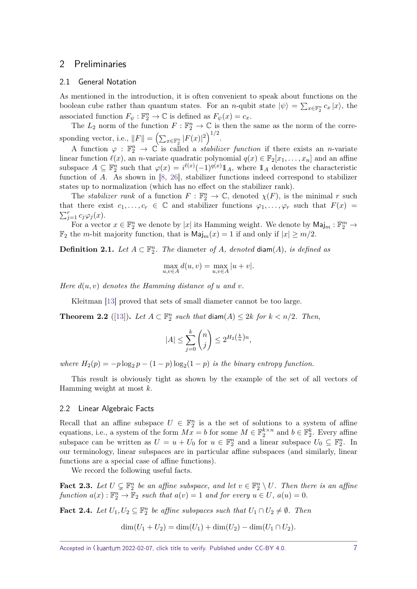## 2 Preliminaries

## 2.1 General Notation

As mentioned in the introduction, it is often convenient to speak about functions on the boolean cube rather than quantum states. For an *n*-qubit state  $|\psi\rangle = \sum_{x \in \mathbb{F}_2^n} c_x |x\rangle$ , the associated function  $F_{\psi}: \mathbb{F}_2^n \to \mathbb{C}$  is defined as  $F_{\psi}(x) = c_x$ .

The  $L_2$  norm of the function  $F: \mathbb{F}_2^n \to \mathbb{C}$  is then the same as the norm of the corresponding vector, i.e.,  $||F|| = \left(\sum_{x \in \mathbb{F}_2^n} |F(x)|^2\right)^{1/2}$ .

A function  $\varphi : \mathbb{F}_2^n \to \mathbb{C}$  is called a *stabilizer function* if there exists an *n*-variate linear function  $\ell(x)$ , an *n*-variate quadratic polynomial  $q(x) \in \mathbb{F}_2[x_1, \ldots, x_n]$  and an affine subspace  $A \subseteq \mathbb{F}_2^n$  such that  $\varphi(x) = i^{\ell(x)}(-1)^{q(x)} \mathbb{1}_A$ , where  $\mathbb{1}_A$  denotes the characteristic function of *A*. As shown in [\[8,](#page-15-12) [26\]](#page-16-5), stabilizer functions indeed correspond to stabilizer states up to normalization (which has no effect on the stabilizer rank).

The *stabilizer rank* of a function  $F : \mathbb{F}_2^n \to \mathbb{C}$ , denoted  $\chi(F)$ , is the minimal *r* such that there exist  $c_1, \ldots, c_r \in \mathbb{C}$  and stabilizer functions  $\varphi_1, \ldots, \varphi_r$  such that  $F(x) =$  $\sum_{j=1}^r c_j \varphi_j(x)$ .

For a vector  $x \in \mathbb{F}_2^n$  we denote by  $|x|$  its Hamming weight. We denote by  $\mathsf{Maj}_m : \mathbb{F}_2^m \to$  $\mathbb{F}_2$  the *m*-bit majority function, that is  $\text{Maj}_m(x) = 1$  if and only if  $|x| \geq m/2$ .

**Definition 2.1.** *Let*  $A \subset \mathbb{F}_2^n$ *. The* diameter *of*  $A$ *, denoted* diam $(A)$ *, is defined as* 

$$
\max_{u,v \in A} d(u,v) = \max_{u,v \in A} |u+v|.
$$

*Here*  $d(u, v)$  *denotes the Hamming distance of u and v*.

Kleitman [\[13\]](#page-15-13) proved that sets of small diameter cannot be too large.

<span id="page-6-3"></span>**Theorem 2.2** ([\[13\]](#page-15-13)). Let  $A \subset \mathbb{F}_2^n$  such that  $\text{diam}(A) \leq 2k$  for  $k < n/2$ . Then,

$$
|A| \le \sum_{j=0}^k {n \choose j} \le 2^{H_2(\frac{k}{n})n},
$$

*where*  $H_2(p) = -p \log_2 p - (1 - p) \log_2 (1 - p)$  *is the binary entropy function.* 

This result is obviously tight as shown by the example of the set of all vectors of Hamming weight at most *k*.

## 2.2 Linear Algebraic Facts

Recall that an affine subspace  $U \in \mathbb{F}_2^n$  is a the set of solutions to a system of affine equations, i.e., a system of the form  $Mx = b$  for some  $M \in \mathbb{F}_2^{k \times n}$  and  $b \in \mathbb{F}_2^k$ . Every affine subspace can be written as  $U = u + U_0$  for  $u \in \mathbb{F}_2^n$  and a linear subspace  $U_0 \subseteq \mathbb{F}_2^n$ . In our terminology, linear subspaces are in particular affine subspaces (and similarly, linear functions are a special case of affine functions).

We record the following useful facts.

<span id="page-6-2"></span>**Fact 2.3.** Let  $U \subsetneq \mathbb{F}_2^n$  be an affine subspace, and let  $v \in \mathbb{F}_2^n \setminus U$ . Then there is an affine *function*  $a(x): \mathbb{F}_2^n \to \mathbb{F}_2$  *such that*  $a(v) = 1$  *and for every*  $u \in U$ *,*  $a(u) = 0$ *.* 

<span id="page-6-1"></span>**Fact 2.4.** *Let*  $U_1, U_2 \subseteq \mathbb{F}_2^n$  *be affine subspaces such that*  $U_1 \cap U_2 \neq \emptyset$ *. Then* 

 $\dim(U_1 + U_2) = \dim(U_1) + \dim(U_2) - \dim(U_1 \cap U_2)$ .

<span id="page-6-0"></span>Accepted in  $\lambda$ uantum 2022-02-07, click title to verify. Published under CC-BY 4.0. 7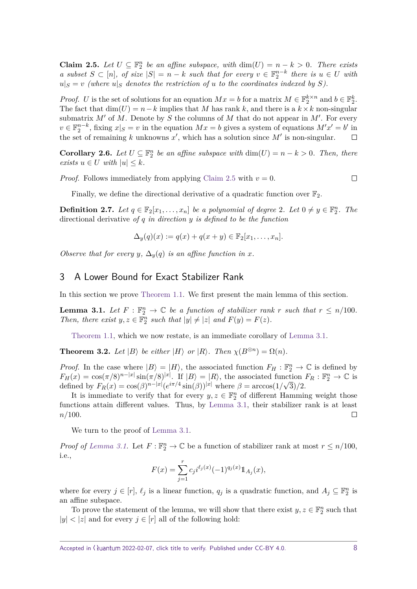**Claim 2.5.** *Let U* ⊆  $\mathbb{F}_2^n$  *be an affine subspace, with* dim(*U*) = *n* − *k* > 0*. There exists a* subset  $S \subset [n]$ , of size  $|S| = n - k$  such that for every  $v \in \mathbb{F}_2^{n-k}$  there is  $u \in U$  with  $u|_S = v$  *(where*  $u|_S$  *denotes the restriction of u to the coordinates indexed by S)*.

*Proof. U* is the set of solutions for an equation  $Mx = b$  for a matrix  $M \in \mathbb{F}_2^{k \times n}$  and  $b \in \mathbb{F}_2^k$ . The fact that  $\dim(U) = n - k$  implies that *M* has rank *k*, and there is a  $k \times k$  non-singular submatrix  $M'$  of  $M$ . Denote by  $S$  the columns of  $M$  that do not appear in  $M'$ . For every  $v \in \mathbb{F}_2^{n-k}$ , fixing  $x|_S = v$  in the equation  $Mx = b$  gives a system of equations  $M'x' = b'$  in the set of remaining k unknowns  $x'$ , which has a solution since  $M'$  is non-singular.  $\Box$ 

<span id="page-7-2"></span>**Corollary 2.6.** *Let*  $U \subseteq \mathbb{F}_2^n$  *be an affine subspace with*  $\dim(U) = n - k > 0$ *. Then, there exists*  $u \in U$  *with*  $|u| \leq k$ *.* 

*Proof.* Follows immediately from applying [Claim 2.5](#page-6-0) with  $v = 0$ .

 $\Box$ 

Finally, we define the directional derivative of a quadratic function over  $\mathbb{F}_2$ .

**Definition 2.7.** Let  $q \in \mathbb{F}_2[x_1, \ldots, x_n]$  be a polynomial of degree 2. Let  $0 \neq y \in \mathbb{F}_2^n$ . The directional derivative *of q in direction y is defined to be the function*

$$
\Delta_y(q)(x) := q(x) + q(x+y) \in \mathbb{F}_2[x_1,\ldots,x_n].
$$

*Observe that for every y*,  $\Delta_y(q)$  *is an affine function in x.* 

## <span id="page-7-0"></span>3 A Lower Bound for Exact Stabilizer Rank

<span id="page-7-1"></span>In this section we prove [Theorem 1.1.](#page-2-1) We first present the main lemma of this section.

**Lemma 3.1.** Let  $F : \mathbb{F}_2^n \to \mathbb{C}$  be a function of stabilizer rank  $r$  such that  $r \leq n/100$ . *Then, there exist*  $y, z \in \mathbb{F}_2^n$  *such that*  $|y| \neq |z|$  *and*  $F(y) = F(z)$ *.* 

[Theorem 1.1,](#page-2-1) which we now restate, is an immediate corollary of [Lemma 3.1.](#page-7-1)

**Theorem 3.2.** *Let*  $|B\rangle$  *be either*  $|H\rangle$  *or*  $|R\rangle$ *. Then*  $\chi(B^{\otimes n}) = \Omega(n)$ *.* 

*Proof.* In the case where  $|B\rangle = |H\rangle$ , the associated function  $F_H : \mathbb{F}_2^n \to \mathbb{C}$  is defined by  $F_H(x) = \cos(\pi/8)^{n-|x|} \sin(\pi/8)^{|x|}$ . If  $|B\rangle = |R\rangle$ , the associated function  $F_R : \mathbb{F}_2^n \to \mathbb{C}$  is defined by  $F_R(x) = \cos(\beta)^{n-|x|} (e^{i\pi/4} \sin(\beta))^{|x|}$  where  $\beta = \arccos(1/\sqrt{3})/2$ .

It is immediate to verify that for every  $y, z \in \mathbb{F}_2^n$  of different Hamming weight those functions attain different values. Thus, by [Lemma 3.1,](#page-7-1) their stabilizer rank is at least *n/*100.  $\Box$ 

We turn to the proof of [Lemma 3.1.](#page-7-1)

*Proof of [Lemma 3.1.](#page-7-1)* Let  $F: \mathbb{F}_2^n \to \mathbb{C}$  be a function of stabilizer rank at most  $r \leq n/100$ , i.e.,

$$
F(x) = \sum_{j=1}^{r} c_j i^{\ell_j(x)} (-1)^{q_j(x)} \mathbb{1}_{A_j}(x),
$$

where for every  $j \in [r]$ ,  $\ell_j$  is a linear function,  $q_j$  is a quadratic function, and  $A_j \subseteq \mathbb{F}_2^n$  is an affine subspace.

To prove the statement of the lemma, we will show that there exist  $y, z \in \mathbb{F}_2^n$  such that  $|y| < |z|$  and for every  $j \in [r]$  all of the following hold: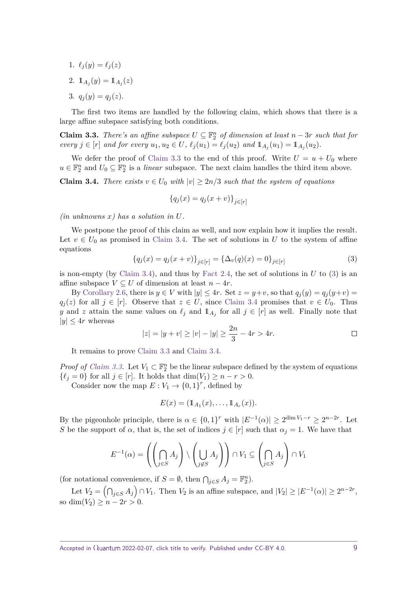- 1.  $\ell_i(y) = \ell_i(z)$
- 2.  $1\!\!1_{A_j}(y) = 1\!\!1_{A_j}(z)$
- 3.  $q_i(y) = q_i(z)$ .

The first two items are handled by the following claim, which shows that there is a large affine subspace satisfying both conditions.

<span id="page-8-0"></span>**Claim 3.3.** *There's an affine subspace*  $U \subseteq \mathbb{F}_2^n$  *of dimension at least*  $n - 3r$  *such that for* every  $j \in [r]$  and for every  $u_1, u_2 \in U$ ,  $\ell_j(u_1) = \ell_j(u_2)$  and  $\mathbb{1}_{A_j}(u_1) = \mathbb{1}_{A_j}(u_2)$ .

We defer the proof of [Claim 3.3](#page-8-0) to the end of this proof. Write  $U = u + U_0$  where  $u \in \mathbb{F}_2^n$  and  $U_0 \subseteq \mathbb{F}_2^n$  is a *linear* subspace. The next claim handles the third item above.

<span id="page-8-1"></span>**Claim 3.4.** *There exists*  $v \in U_0$  *with*  $|v| \geq 2n/3$  *such that the system of equations* 

$$
\{q_j(x) = q_j(x+v)\}_{j \in [r]}
$$

*(in unknowns x) has a solution in U.*

We postpone the proof of this claim as well, and now explain how it implies the result. Let  $v \in U_0$  as promised in [Claim 3.4.](#page-8-1) The set of solutions in *U* to the system of affine equations

<span id="page-8-2"></span>
$$
\{q_j(x) = q_j(x+v)\}_{j \in [r]} = \{\Delta_v(q)(x) = 0\}_{j \in [r]}
$$
\n(3)

is non-empty (by [Claim 3.4\)](#page-8-1), and thus by [Fact 2.4,](#page-6-1) the set of solutions in  $U$  to  $(3)$  is an affine subspace  $V \subseteq U$  of dimension at least  $n - 4r$ .

By [Corollary 2.6,](#page-7-2) there is  $y \in V$  with  $|y| \leq 4r$ . Set  $z = y+v$ , so that  $q_i(y) = q_i(y+v)$ *q*<sub>*j*</sub>(*z*) for all *j* ∈ [*r*]. Observe that *z* ∈ *U*, since [Claim 3.4](#page-8-1) promises that *v* ∈ *U*<sub>0</sub>. Thus *y* and *z* attain the same values on  $\ell_j$  and  $\mathbb{1}_{A_j}$  for all  $j \in [r]$  as well. Finally note that  $|y| \leq 4r$  whereas

$$
|z| = |y + v| \ge |v| - |y| \ge \frac{2n}{3} - 4r > 4r.
$$

It remains to prove [Claim 3.3](#page-8-0) and [Claim 3.4.](#page-8-1)

*Proof of [Claim 3.3.](#page-8-0)* Let  $V_1 \subset \mathbb{F}_2^n$  be the linear subspace defined by the system of equations  $\{\ell_j = 0\}$  for all  $j \in [r]$ . It holds that  $\dim(V_1) \geq n - r > 0$ .

Consider now the map  $E: V_1 \to \{0,1\}^r$ , defined by

$$
E(x) = (\mathbb{1}_{A_1}(x), \ldots, \mathbb{1}_{A_r}(x)).
$$

By the pigeonhole principle, there is  $\alpha \in \{0,1\}^r$  with  $|E^{-1}(\alpha)| \geq 2^{\dim V_1 - r} \geq 2^{n-2r}$ . Let *S* be the support of  $\alpha$ , that is, the set of indices  $j \in [r]$  such that  $\alpha_j = 1$ . We have that

$$
E^{-1}(\alpha) = \left( \left( \bigcap_{j \in S} A_j \right) \setminus \left( \bigcup_{j \notin S} A_j \right) \right) \cap V_1 \subseteq \left( \bigcap_{j \in S} A_j \right) \cap V_1
$$

(for notational convenience, if  $S = \emptyset$ , then  $\bigcap_{j \in S} A_j = \mathbb{F}_2^n$ ).

Let  $V_2 = \left(\bigcap_{j \in S} A_j\right) \cap V_1$ . Then  $V_2$  is an affine subspace, and  $|V_2| \geq |E^{-1}(\alpha)| \geq 2^{n-2r}$ , so dim( $V_2$ ) >  $n - 2r > 0$ .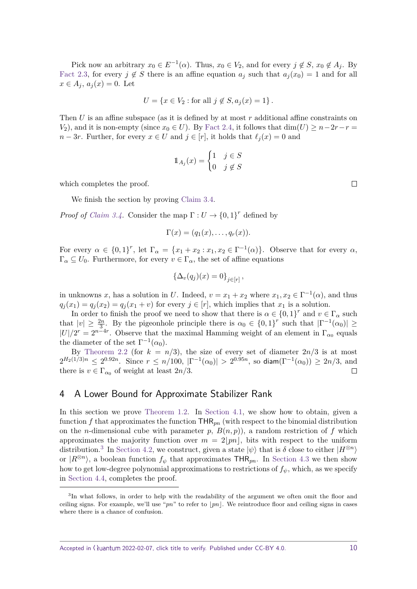Pick now an arbitrary  $x_0 \in E^{-1}(\alpha)$ . Thus,  $x_0 \in V_2$ , and for every  $j \notin S$ ,  $x_0 \notin A_j$ . By [Fact 2.3,](#page-6-2) for every  $j \notin S$  there is an affine equation  $a_j$  such that  $a_j(x_0) = 1$  and for all *x* ∈ *A*<sub>*j*</sub>,  $a_j(x) = 0$ . Let

$$
U = \{ x \in V_2 : \text{for all } j \notin S, a_j(x) = 1 \}.
$$

Then *U* is an affine subspace (as it is defined by at most *r* additional affine constraints on *V*<sub>2</sub>), and it is non-empty (since  $x_0 \in U$ ). By [Fact 2.4,](#page-6-1) it follows that dim(*U*) ≥  $n-2r-r=$ *n* − 3*r*. Further, for every  $x \in U$  and  $j \in [r]$ , it holds that  $\ell_i(x) = 0$  and

$$
1\!\!1_{A_j}(x) = \begin{cases} 1 & j \in S \\ 0 & j \notin S \end{cases}
$$

which completes the proof.

We finish the section by proving [Claim 3.4.](#page-8-1)

*Proof of [Claim 3.4.](#page-8-1)* Consider the map  $\Gamma: U \to \{0,1\}^r$  defined by

$$
\Gamma(x)=(q_1(x),\ldots,q_r(x)).
$$

For every  $\alpha \in \{0,1\}^r$ , let  $\Gamma_{\alpha} = \{x_1 + x_2 : x_1, x_2 \in \Gamma^{-1}(\alpha)\}$ . Observe that for every  $\alpha$ ,  $\Gamma_{\alpha} \subseteq U_0$ . Furthermore, for every  $v \in \Gamma_{\alpha}$ , the set of affine equations

$$
\left\{\Delta_v(q_j)(x) = 0\right\}_{j \in [r]},
$$

in unknowns *x*, has a solution in *U*. Indeed,  $v = x_1 + x_2$  where  $x_1, x_2 \in \Gamma^{-1}(\alpha)$ , and thus  $q_i(x_1) = q_i(x_2) = q_i(x_1 + v)$  for every  $j \in [r]$ , which implies that  $x_1$  is a solution.

In order to finish the proof we need to show that there is  $\alpha \in \{0,1\}^r$  and  $v \in \Gamma_\alpha$  such that  $|v| \geq \frac{2n}{3}$ . By the pigeonhole principle there is  $\alpha_0 \in \{0,1\}^r$  such that  $|\Gamma^{-1}(\alpha_0)| \geq$  $|U|/2^r = 2^{n-4r}$ . Observe that the maximal Hamming weight of an element in  $\Gamma_{\alpha_0}$  equals the diameter of the set  $\Gamma^{-1}(\alpha_0)$ .

By [Theorem 2.2](#page-6-3) (for  $k = n/3$ ), the size of every set of diameter  $2n/3$  is at most  $2^{H_2(1/3)n} \leq 2^{0.92n}$ . Since  $r \leq n/100$ ,  $|\Gamma^{-1}(\alpha_0)| > 2^{0.95n}$ , so diam $(\Gamma^{-1}(\alpha_0)) \geq 2n/3$ , and there is  $v \in \Gamma_{\alpha_0}$  of weight at least  $2n/3$ .  $\Box$ 

## <span id="page-9-0"></span>4 A Lower Bound for Approximate Stabilizer Rank

In this section we prove [Theorem 1.2.](#page-2-2) In [Section 4.1,](#page-10-0) we show how to obtain, given a function  $f$  that approximates the function  $\text{THR}_{pn}$  (with respect to the binomial distribution on the *n*-dimensional cube with parameter  $p$ ,  $B(n, p)$ ), a random restriction of  $f$  which approximates the majority function over  $m = 2|m|$ , bits with respect to the uniform distribution.<sup>[3](#page-9-1)</sup> In [Section 4.2,](#page-11-0) we construct, given a state  $|\psi\rangle$  that is  $\delta$  close to either  $|H^{\otimes n}\rangle$ or  $|R^{\otimes n}\rangle$ , a boolean function  $f_{\psi}$  that approximates THR<sub>pn</sub>. In [Section 4.3](#page-13-0) we then show how to get low-degree polynomial approximations to restrictions of  $f_{\psi}$ , which, as we specify in [Section 4.4,](#page-14-0) completes the proof.

 $\Box$ 

<span id="page-9-1"></span><sup>&</sup>lt;sup>3</sup>In what follows, in order to help with the readability of the argument we often omit the floor and ceiling signs. For example, we'll use " $pn$ " to refer to  $|pn|$ . We reintroduce floor and ceiling signs in cases where there is a chance of confusion.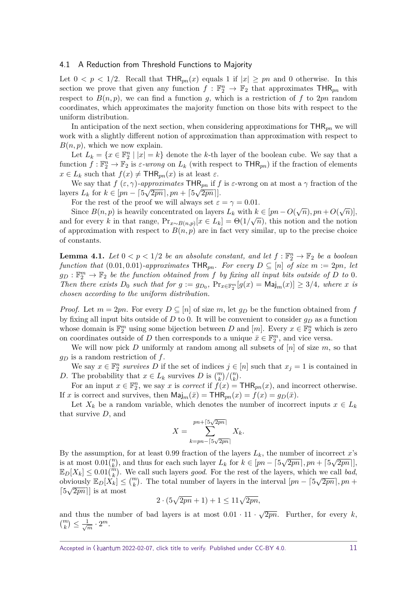#### <span id="page-10-0"></span>4.1 A Reduction from Threshold Functions to Majority

Let  $0 < p < 1/2$ . Recall that  $THR_{pn}(x)$  equals 1 if  $|x| \geq pn$  and 0 otherwise. In this section we prove that given any function  $f : \mathbb{F}_2^n \to \mathbb{F}_2$  that approximates  $\mathsf{THR}_{pn}$  with respect to  $B(n, p)$ , we can find a function *g*, which is a restriction of f to 2*pn* random coordinates, which approximates the majority function on those bits with respect to the uniform distribution.

In anticipation of the next section, when considering approximations for THR*pn* we will work with a slightly different notion of approximation than approximation with respect to  $B(n, p)$ , which we now explain.

Let  $L_k = \{x \in \mathbb{F}_2^n \mid |x| = k\}$  denote the *k*-th layer of the boolean cube. We say that a function  $f: \mathbb{F}_2^n \to \mathbb{F}_2$  is  $\varepsilon$ -wrong on  $L_k$  (with respect to  $\text{THR}_{pn}$ ) if the fraction of elements  $x \in L_k$  such that  $f(x) \neq \text{THR}_{pn}(x)$  is at least  $\varepsilon$ .

We say that  $f(\varepsilon, \gamma)$ -approximates  $\text{THR}_{pn}$  if  $f$  is  $\varepsilon$ -wrong on at most a  $\gamma$  fraction of the layers  $L_k$  for  $k \in [pn - \lceil 5\sqrt{2pn} \rceil, pn + \lceil 5\sqrt{2pn} \rceil].$ 

For the rest of the proof we will always set  $\varepsilon = \gamma = 0.01$ .

Since  $B(n, p)$  is heavily concentrated on layers  $L_k$  with  $k \in [pn - O(\sqrt{n}), pn + O(\sqrt{n})]$ , and for every *k* in that range,  $Pr_{x \sim B(n,p)}[x \in L_k] = \Theta(1/\sqrt{n})$ , this notion and the notion of approximation with respect to  $B(n, p)$  are in fact very similar, up to the precise choice of constants.

<span id="page-10-1"></span>**Lemma 4.1.** Let  $0 < p < 1/2$  be an absolute constant, and let  $f : \mathbb{F}_2^n \to \mathbb{F}_2$  be a boolean *function that*  $(0.01, 0.01)$ *-approximates* THR<sub>pn</sub>*. For every*  $D \subseteq [n]$  *of size*  $m := 2pn$ , let  $g_D: \mathbb{F}_2^m \to \mathbb{F}_2$  *be the function obtained from f by fixing all input bits outside of D to* 0*. Then there exists*  $D_0$  *such that for*  $g := g_{D_0}$ ,  $Pr_{x \in \mathbb{F}_2^m}[g(x) = \text{Maj}_m(x)] \geq 3/4$ , where *x is chosen according to the uniform distribution.*

*Proof.* Let  $m = 2pn$ . For every  $D \subseteq [n]$  of size  $m$ , let  $g_D$  be the function obtained from  $f$ by fixing all input bits outside of *D* to 0. It will be convenient to consider  $q_D$  as a function whose domain is  $\mathbb{F}_2^m$  using some bijection between *D* and  $[m]$ . Every  $x \in \mathbb{F}_2^n$  which is zero on coordinates outside of *D* then corresponds to a unique  $\bar{x} \in \mathbb{F}_2^m$ , and vice versa.

We will now pick *D* uniformly at random among all subsets of [*n*] of size *m*, so that *g<sup>D</sup>* is a random restriction of *f*.

We say  $x \in \mathbb{F}_2^n$  survives D if the set of indices  $j \in [n]$  such that  $x_j = 1$  is contained in *D*. The probability that  $x \in L_k$  survives *D* is  $\binom{m}{k} \binom{n}{k}$ .

For an input  $x \in \mathbb{F}_2^n$ , we say *x* is *correct* if  $f(x) = \text{THR}_{pn}(x)$ , and incorrect otherwise. If *x* is correct and survives, then  $\textsf{Maj}_m(\bar{x}) = \textsf{THR}_{pn}(x) = f(x) = g_D(\bar{x}).$ 

Let  $X_k$  be a random variable, which denotes the number of incorrect inputs  $x \in L_k$ that survive *D*, and √

$$
X = \sum_{k=pn-\lceil 5\sqrt{2pn} \rceil}^{pn+\lceil 5\sqrt{2pn} \rceil} X_k.
$$

By the assumption, for at least 0.99 fraction of the layers  $L_k$ , the number of incorrect *x*'s is at most  $0.01\binom{n}{k}$ , and thus for each such layer  $L_k$  for  $k \in [pn - \lceil 5\sqrt{2pn} \rceil, pn + \lceil 5\sqrt{2pn} \rceil]$ ,  $\mathbb{E}_D[X_k] \leq 0.01 \binom{m}{k}$ . We call such layers *good*. For the rest of the layers, which we call *bad*, obviously  $\mathbb{E}_D[X_k] \leq {m \choose k}$ . The total number of layers in the interval  $[pn - \lceil 5\sqrt{2pn} \rceil, pn + \lceil 5\sqrt{2pn} \rceil]$  $\lceil 5\sqrt{2pn} \rceil$  is at most

$$
2 \cdot (5\sqrt{2pn} + 1) + 1 \le 11\sqrt{2pn},
$$

and thus the number of bad layers is at most  $0.01 \cdot 11 \cdot \sqrt{ }$ 2*pn*. Further, for every *k*,  $\binom{m}{k} \leq \frac{1}{\sqrt{n}}$  $\frac{1}{m} \cdot 2^m$ .

Accepted in  $\lambda$ uantum 2022-02-07, click title to verify. Published under CC-BY 4.0. 11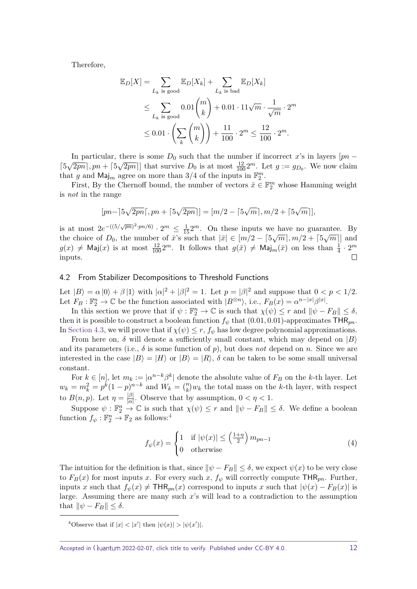Therefore,

$$
\mathbb{E}_D[X] = \sum_{L_k \text{ is good}} \mathbb{E}_D[X_k] + \sum_{L_k \text{ is bad}} \mathbb{E}_D[X_k]
$$
  
\n
$$
\leq \sum_{L_k \text{ is good}} 0.01 {m \choose k} + 0.01 \cdot 11 \sqrt{m} \cdot \frac{1}{\sqrt{m}} \cdot 2^m
$$
  
\n
$$
\leq 0.01 \cdot \left(\sum_k {m \choose k}\right) + \frac{11}{100} \cdot 2^m \leq \frac{12}{100} \cdot 2^m.
$$

In particular, there is some  $D_0$  such that the number if incorrect *x*'s in layers  $[pn - \sqrt{2m}]$  $\left[5\sqrt{2pn}\right], pn + \left[5\sqrt{2pn}\right]$  that survive  $D_0$  is at most  $\frac{12}{100}2^m$ . Let  $g := g_{D_0}$ . We now claim that *g* and  $\text{Maj}_m$  agree on more than 3/4 of the inputs in  $\mathbb{F}_2^m$ .

First, By the Chernoff bound, the number of vectors  $\bar{x} \in \mathbb{F}_2^m$  whose Hamming weight is *not* in the range

$$
[pn-]5\sqrt{2pn}[, pn + [5\sqrt{2pn}]] = [m/2 - [5\sqrt{m}], m/2 + [5\sqrt{m}]],
$$

is at most  $2e^{-((5/\sqrt{pn})^2 \cdot pn/6)} \cdot 2^m \le \frac{1}{15} 2^m$ . On these inputs we have no guarantee. By the choice of *D*<sub>0</sub>, the number of  $\bar{x}$ 's such that  $|\bar{x}| \in [m/2 - \lceil 5\sqrt{m} \rceil, m/2 + \lceil 5\sqrt{m} \rceil]$  and  $g(x) \neq \textsf{Maj}(x)$  is at most  $\frac{12}{100}2^m$ . It follows that  $g(\bar{x}) \neq \textsf{Maj}_m(\bar{x})$  on less than  $\frac{1}{4} \cdot 2^m$ inputs.  $\Box$ 

## <span id="page-11-0"></span>4.2 From Stabilizer Decompositions to Threshold Functions

Let  $|B\rangle = \alpha |0\rangle + \beta |1\rangle$  with  $|\alpha|^2 + |\beta|^2 = 1$ . Let  $p = |\beta|^2$  and suppose that  $0 < p < 1/2$ . Let  $F_B: \mathbb{F}_2^n \to \mathbb{C}$  be the function associated with  $|B^{\otimes n}\rangle$ , i.e.,  $F_B(x) = \alpha^{n-|x|}\beta^{|x|}$ .

In this section we prove that if  $\psi$  :  $\mathbb{F}_2^n \to \mathbb{C}$  is such that  $\chi(\psi) \leq r$  and  $\|\psi - F_B\| \leq \delta$ , then it is possible to construct a boolean function  $f_{\psi}$  that (0.01, 0.01)-approximates  $\text{THR}_{pn}$ . In [Section 4.3,](#page-13-0) we will prove that if  $\chi(\psi) \leq r$ ,  $f_{\psi}$  has low degree polynomial approximations.

From here on,  $\delta$  will denote a sufficiently small constant, which may depend on  $|B\rangle$ and its parameters (i.e., *δ* is some function of *p*), but does not depend on *n*. Since we are interested in the case  $|B\rangle = |H\rangle$  or  $|B\rangle = |R\rangle$ ,  $\delta$  can be taken to be some small universal constant.

For  $k \in [n]$ , let  $m_k := |\alpha^{n-k} \beta^k|$  denote the absolute value of  $F_B$  on the *k*-th layer. Let  $w_k = m_k^2 = p^k (1-p)^{n-k}$  and  $W_k = \binom{n}{k} w_k$  the total mass on the *k*-th layer, with respect to  $B(n, p)$ . Let  $\eta = \frac{|\beta|}{|\alpha|}$  $\frac{|\beta|}{|\alpha|}$ . Observe that by assumption,  $0 < \eta < 1$ .

Suppose  $\psi$  :  $\mathbb{F}_2^n \to \mathbb{C}$  is such that  $\chi(\psi) \leq r$  and  $\|\psi - F_B\| \leq \delta$ . We define a boolean function  $f_{\psi}: \mathbb{F}_2^n \to \mathbb{F}_2$  as follows:<sup>[4](#page-11-1)</sup>

<span id="page-11-2"></span>
$$
f_{\psi}(x) = \begin{cases} 1 & \text{if } |\psi(x)| \le \left(\frac{1+\eta}{2}\right) m_{pn-1} \\ 0 & \text{otherwise} \end{cases}
$$
 (4)

The intuition for the definition is that, since  $\|\psi - F_B\| \leq \delta$ , we expect  $\psi(x)$  to be very close to  $F_B(x)$  for most inputs *x*. For every such *x*,  $f_{\psi}$  will correctly compute THR<sub>pn</sub>. Further, inputs *x* such that  $f_{\psi}(x) \neq \text{THR}_{pn}(x)$  correspond to inputs *x* such that  $|\psi(x) - F_B(x)|$  is large. Assuming there are many such *x*'s will lead to a contradiction to the assumption that  $\|\psi - F_B\| \leq \delta$ .

<span id="page-11-3"></span><span id="page-11-1"></span><sup>&</sup>lt;sup>4</sup>Observe that if  $|x| < |x'|$  then  $|\psi(x)| > |\psi(x')|$ .

Accepted in  $\lambda$ uantum 2022-02-07, click title to verify. Published under CC-BY 4.0. 12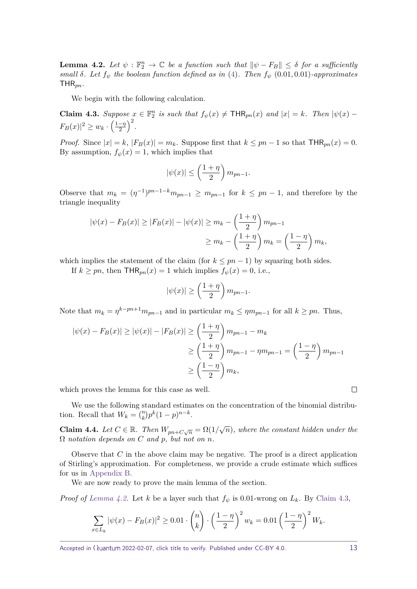**Lemma 4.2.** Let  $\psi$  :  $\mathbb{F}_2^n \to \mathbb{C}$  be a function such that  $\|\psi - F_B\| \leq \delta$  for a sufficiently *small δ. Let f<sup>ψ</sup> the boolean function defined as in* [\(4\)](#page-11-2)*. Then f<sup>ψ</sup>* (0*.*01*,* 0*.*01)*-approximates*  $THR_{pn}$ .

We begin with the following calculation.

<span id="page-12-0"></span>**Claim 4.3.** Suppose  $x \in \mathbb{F}_2^n$  is such that  $f_{\psi}(x) \neq \text{THR}_{pn}(x)$  and  $|x| = k$ *. Then*  $|\psi(x) - \psi(x)|$  $F_B(x)|^2 \geq w_k \cdot \left(\frac{1-\eta}{2}\right)$  $\left(\frac{-\eta}{2}\right)^2$ .

*Proof.* Since  $|x| = k$ ,  $|F_B(x)| = m_k$ . Suppose first that  $k \leq pn - 1$  so that  $\text{THR}_{pn}(x) = 0$ . By assumption,  $f_{\psi}(x) = 1$ , which implies that

$$
|\psi(x)| \le \left(\frac{1+\eta}{2}\right) m_{pn-1}.
$$

Observe that  $m_k = (\eta^{-1})^{pn-1-k}m_{pn-1} \geq m_{pn-1}$  for  $k \leq pn - 1$ , and therefore by the triangle inequality

$$
|\psi(x) - F_B(x)| \ge |F_B(x)| - |\psi(x)| \ge m_k - \left(\frac{1+\eta}{2}\right) m_{pn-1}
$$
  

$$
\ge m_k - \left(\frac{1+\eta}{2}\right) m_k = \left(\frac{1-\eta}{2}\right) m_k,
$$

which implies the statement of the claim (for  $k \leq pn - 1$ ) by squaring both sides.

If  $k \geq pn$ , then  $\text{THR}_{pn}(x) = 1$  which implies  $f_{\psi}(x) = 0$ , i.e.,

$$
|\psi(x)| \ge \left(\frac{1+\eta}{2}\right) m_{pn-1}.
$$

Note that  $m_k = \eta^{k-pn+1} m_{pn-1}$  and in particular  $m_k \le \eta m_{pn-1}$  for all  $k \ge pn$ . Thus,

$$
|\psi(x) - F_B(x)| \ge |\psi(x)| - |F_B(x)| \ge \left(\frac{1+\eta}{2}\right)m_{pn-1} - m_k
$$
  

$$
\ge \left(\frac{1+\eta}{2}\right)m_{pn-1} - \eta m_{pn-1} = \left(\frac{1-\eta}{2}\right)m_{pn-1}
$$
  

$$
\ge \left(\frac{1-\eta}{2}\right)m_k,
$$

which proves the lemma for this case as well.

We use the following standard estimates on the concentration of the binomial distribution. Recall that  $W_k = {n \choose k} p^k (1-p)^{n-k}$ .

<span id="page-12-1"></span>**Claim 4.4.** *Let*  $C \in \mathbb{R}$ *. Then*  $W_{pn+C\sqrt{n}} = \Omega(1/\sqrt{n})$ *, where the constant hidden under the*  $\Omega$  *notation depends on*  $C$  *and*  $p$ *, but not on*  $n$ *.* 

Observe that *C* in the above claim may be negative. The proof is a direct application of Stirling's approximation. For completeness, we provide a crude estimate which suffices for us in [Appendix B.](#page-18-0)

We are now ready to prove the main lemma of the section.

*Proof of [Lemma 4.2.](#page-11-3)* Let *k* be a layer such that  $f_{\psi}$  is 0.01-wrong on  $L_k$ . By [Claim 4.3,](#page-12-0)

$$
\sum_{x \in L_k} |\psi(x) - F_B(x)|^2 \ge 0.01 \cdot \binom{n}{k} \cdot \left(\frac{1-\eta}{2}\right)^2 w_k = 0.01 \left(\frac{1-\eta}{2}\right)^2 W_k.
$$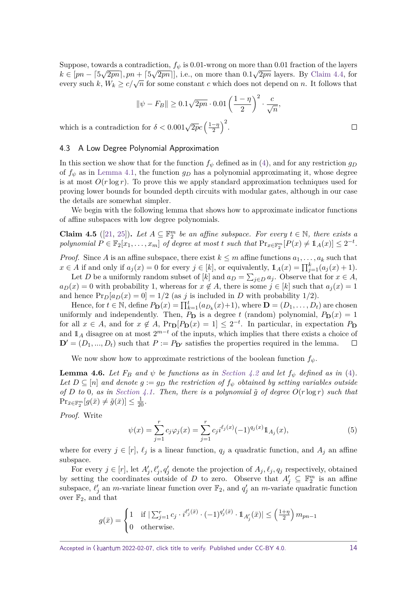Suppose, towards a contradiction,  $f_{\psi}$  is 0*.*01-wrong on more than 0*.*01 fraction of the layers  $k \in [pn - [5\sqrt{2pn}], pn + [5\sqrt{2pn}]$ , i.e., on more than  $0.1\sqrt{2pn}$  layers. By [Claim 4.4,](#page-12-1) for  $\kappa \in [\mu n - \frac{1}{2} \sqrt{2} \mu n], \mu n + \frac{1}{2} \sqrt{2} \mu n]$ , i.e., on more than 0.1 $\sqrt{2} \mu n$  layers. By Claim 4.4, for every such  $k, W_k \ge c/\sqrt{n}$  for some constant *c* which does not depend on *n*. It follows that

$$
\|\psi - F_B\| \ge 0.1\sqrt{2pn} \cdot 0.01 \left(\frac{1-\eta}{2}\right)^2 \cdot \frac{c}{\sqrt{n}},
$$

which is a contradiction for  $\delta < 0.001\sqrt{2pc} \left(\frac{1-\eta}{2}\right)$  $\left(\frac{-\eta}{2}\right)^2$ .

## <span id="page-13-0"></span>4.3 A Low Degree Polynomial Approximation

In this section we show that for the function  $f_{\psi}$  defined as in [\(4\)](#page-11-2), and for any restriction  $g_D$ of  $f_{\psi}$  as in [Lemma 4.1,](#page-10-1) the function  $g_D$  has a polynomial approximating it, whose degree is at most  $O(r \log r)$ . To prove this we apply standard approximation techniques used for proving lower bounds for bounded depth circuits with modular gates, although in our case the details are somewhat simpler.

We begin with the following lemma that shows how to approximate indicator functions of affine subspaces with low degree polynomials.

<span id="page-13-1"></span>**Claim 4.5** ([\[21,](#page-16-6) [25\]](#page-16-8)). Let  $A \subseteq \mathbb{F}_2^m$  be an affine subspace. For every  $t \in \mathbb{N}$ , there exists a  $polynomial P \in \mathbb{F}_2[x_1, \ldots, x_m]$  *of degree at most t such that*  $Pr_{x \in \mathbb{F}_2^m}[P(x) \neq 1_A(x)] \leq 2^{-t}$ .

*Proof.* Since *A* is an affine subspace, there exist  $k \leq m$  affine functions  $a_1, \ldots, a_k$  such that *x* ∈ *A* if and only if  $a_j(x) = 0$  for every  $j \in [k]$ , or equivalently,  $1_A(x) = \prod_{j=1}^k (a_j(x) + 1)$ .

Let *D* be a uniformly random subset of  $[k]$  and  $a_D = \sum_{j \in D} a_j$ . Observe that for  $x \in A$ ,  $a_D(x) = 0$  with probability 1, whereas for  $x \notin A$ , there is some  $j \in [k]$  such that  $a_j(x) = 1$ and hence  $Pr_D[a_D(x) = 0] = 1/2$  (as *j* is included in *D* with probability 1/2).

Hence, for  $t \in \mathbb{N}$ , define  $P_{\mathbf{D}}(x) = \prod_{k=1}^{t} (a_{D_k}(x) + 1)$ , where  $\mathbf{D} = (D_1, \ldots, D_t)$  are chosen uniformly and independently. Then,  $P_{\mathbf{D}}$  is a degree *t* (random) polynomial,  $P_{\mathbf{D}}(x) = 1$ for all  $x \in A$ , and for  $x \notin A$ ,  $Pr_{\mathbf{D}}[P_{\mathbf{D}}(x) = 1] \leq 2^{-t}$ . In particular, in expectation  $P_{\mathbf{D}}$ and  $1_A$  disagree on at most  $2^{m-t}$  of the inputs, which implies that there exists a choice of  $\mathbf{D}' = (D_1, ..., D_t)$  such that  $P := P_{\mathbf{D}'}$  satisfies the properties required in the lemma.  $\Box$ 

We now show how to approximate restrictions of the boolean function  $f_{\psi}$ .

<span id="page-13-2"></span>**Lemma 4.6.** *Let*  $F_B$  *and*  $\psi$  *be functions as in [Section 4.2](#page-11-0) and let*  $f_{\psi}$  *defined as in* [\(4\)](#page-11-2)*. Let*  $D \subseteq [n]$  *and denote*  $g := g_D$  *the restriction of*  $f_{\psi}$  *obtained by setting variables outside*  $of$  *D to* 0*, as in [Section 4.1.](#page-10-0) Then, there is a polynomial*  $\tilde{g}$  *of degree*  $O(r \log r)$  *such that*  $\Pr_{\bar{x} \in \mathbb{F}_2^m} [g(\bar{x}) \neq \tilde{g}(\bar{x})] \leq \frac{1}{20}.$ 

*Proof.* Write

$$
\psi(x) = \sum_{j=1}^{r} c_j \varphi_j(x) = \sum_{j=1}^{r} c_j i^{\ell_j(x)} (-1)^{q_j(x)} \mathbb{1}_{A_j}(x),\tag{5}
$$

where for every  $j \in [r]$ ,  $\ell_j$  is a linear function,  $q_j$  a quadratic function, and  $A_j$  an affine subspace.

For every  $j \in [r]$ , let  $A'_j$ ,  $\ell'_j$ ,  $q'_j$  denote the projection of  $A_j$ ,  $\ell_j$ ,  $q_j$  respectively, obtained by setting the coordinates outside of *D* to zero. Observe that  $A'_j \subseteq \mathbb{F}_2^m$  is an affine subspace,  $\ell'_{j}$  an *m*-variate linear function over  $\mathbb{F}_{2}$ , and  $q'_{j}$  an *m*-variate quadratic function over  $\mathbb{F}_2$ , and that

$$
g(\bar{x}) = \begin{cases} 1 & \text{if } |\sum_{j=1}^r c_j \cdot i^{\ell'_j(\bar{x})} \cdot (-1)^{q'_j(\bar{x})} \cdot 1_{A'_j}(\bar{x})| \leq \left(\frac{1+\eta}{2}\right) m_{pn-1} \\ 0 & \text{otherwise.} \end{cases}
$$

 $\Box$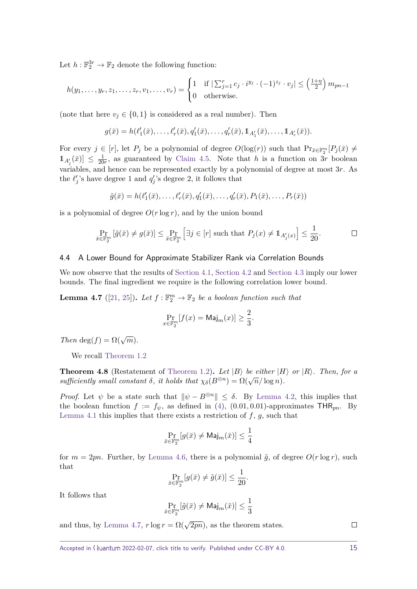Let  $h: \mathbb{F}_2^{3r} \to \mathbb{F}_2$  denote the following function:

$$
h(y_1,\ldots,y_r,z_1,\ldots,z_r,v_1,\ldots,v_r) = \begin{cases} 1 & \text{if } |\sum_{j=1}^r c_j \cdot i^{y_j} \cdot (-1)^{z_j} \cdot v_j| \leq \left(\frac{1+\eta}{2}\right) m_{pn-1} \\ 0 & \text{otherwise.} \end{cases}
$$

(note that here  $v_j \in \{0,1\}$  is considered as a real number). Then

$$
g(\bar{x}) = h(\ell'_1(\bar{x}), \ldots, \ell'_r(\bar{x}), q'_1(\bar{x}), \ldots, q'_r(\bar{x}), 1_{A'_1}(\bar{x}), \ldots, 1_{A'_r}(\bar{x})).
$$

For every  $j \in [r]$ , let  $P_j$  be a polynomial of degree  $O(\log(r))$  such that  $Pr_{\bar{x} \in \mathbb{F}_2^m}[P_j(\bar{x}) \neq$  $1_{A'_{j}}(\bar{x})] \leq \frac{1}{20}$  $\frac{1}{20r}$ , as guaranteed by [Claim 4.5.](#page-13-1) Note that *h* is a function on 3*r* boolean variables, and hence can be represented exactly by a polynomial of degree at most 3*r*. As the  $\ell'_j$ 's have degree 1 and  $q'_j$ 's degree 2, it follows that

$$
\tilde{g}(\bar{x}) = h(\ell'_1(\bar{x}), \ldots, \ell'_r(\bar{x}), q'_1(\bar{x}), \ldots, q'_r(\bar{x}), P_1(\bar{x}), \ldots, P_r(\bar{x}))
$$

is a polynomial of degree  $O(r \log r)$ , and by the union bound

$$
\Pr_{\bar{x}\in\mathbb{F}_2^m} \left[ \tilde{g}(\bar{x}) \neq g(\bar{x}) \right] \le \Pr_{\bar{x}\in\mathbb{F}_2^m} \left[ \exists j \in [r] \text{ such that } P_j(x) \neq 1\!\!1_{A_j'(x)} \right] \le \frac{1}{20}.
$$

## <span id="page-14-0"></span>4.4 A Lower Bound for Approximate Stabilizer Rank via Correlation Bounds

We now observe that the results of [Section 4.1,](#page-10-0) [Section 4.2](#page-11-0) and [Section 4.3](#page-13-0) imply our lower bounds. The final ingredient we require is the following correlation lower bound.

<span id="page-14-1"></span>**Lemma 4.7** ([\[21,](#page-16-6) [25\]](#page-16-8)). Let  $f : \mathbb{F}_2^m \to \mathbb{F}_2$  be a boolean function such that

$$
\Pr_{x \in \mathbb{F}_2^m} [f(x) = \mathrm{Maj}_m(x)] \ge \frac{2}{3}.
$$

*Then* deg( $f$ ) =  $\Omega(\sqrt{m})$ *.* 

We recall [Theorem 1.2](#page-2-2)

**Theorem 4.8** (Restatement of [Theorem 1.2\)](#page-2-2). Let  $|B\rangle$  be either  $|H\rangle$  or  $|R\rangle$ . Then, for a *sufficiently small constant*  $\delta$ *, it holds that*  $\chi_{\delta}(B^{\otimes n}) = \Omega(\sqrt{n}/\log n)$ *.* 

*Proof.* Let  $\psi$  be a state such that  $\|\psi - B^{\otimes n}\| \leq \delta$ . By [Lemma 4.2,](#page-11-3) this implies that the boolean function  $f := f_{\psi}$ , as defined in [\(4\)](#page-11-2), (0*.*01*,* 0*.*01)-approximates  $\text{THR}_{pn}$ . By [Lemma 4.1](#page-10-1) this implies that there exists a restriction of *f*, *g*, such that

$$
\Pr_{\bar{x}\in\mathbb{F}_2^m}[g(\bar{x})\neq\mathsf{Maj}_m(\bar{x})]\leq\frac{1}{4}
$$

for  $m = 2pn$ . Further, by [Lemma 4.6,](#page-13-2) there is a polynomial  $\tilde{g}$ , of degree  $O(r \log r)$ , such that

$$
\Pr_{\bar{x}\in\mathbb{F}_2^m}[g(\bar{x})\neq\tilde{g}(\bar{x})]\leq\frac{1}{20}.
$$

It follows that

$$
\Pr_{\bar{x}\in\mathbb{F}_2^m}[\tilde{g}(\bar{x})\neq\mathsf{Maj}_m(\bar{x})]\leq\frac{1}{3}
$$

and thus, by [Lemma 4.7,](#page-14-1)  $r \log r = \Omega(\sqrt{2pn})$ , as the theorem states.

 $\Box$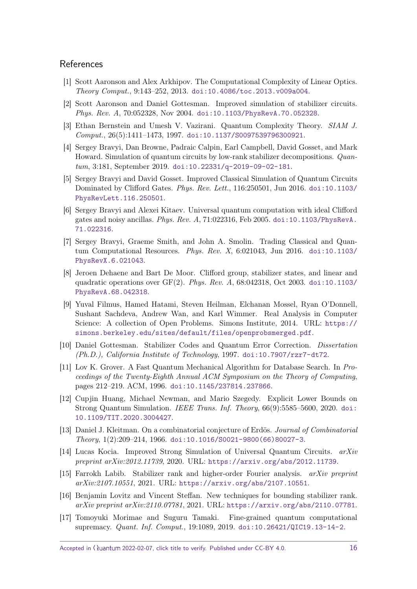## References

- <span id="page-15-3"></span>[1] Scott Aaronson and Alex Arkhipov. The Computational Complexity of Linear Optics. Theory Comput., 9:143–252, 2013. [doi:10.4086/toc.2013.v009a004](https://doi.org/10.4086/toc.2013.v009a004).
- <span id="page-15-8"></span>[2] Scott Aaronson and Daniel Gottesman. Improved simulation of stabilizer circuits. Phys. Rev. A, 70:052328, Nov 2004. [doi:10.1103/PhysRevA.70.052328](https://doi.org/10.1103/PhysRevA.70.052328).
- <span id="page-15-2"></span>[3] Ethan Bernstein and Umesh V. Vazirani. Quantum Complexity Theory. SIAM J. Comput., 26(5):1411–1473, 1997. [doi:10.1137/S0097539796300921](https://doi.org/10.1137/S0097539796300921).
- <span id="page-15-6"></span>[4] Sergey Bravyi, Dan Browne, Padraic Calpin, Earl Campbell, David Gosset, and Mark Howard. Simulation of quantum circuits by low-rank stabilizer decompositions. Quantum, 3:181, September 2019. [doi:10.22331/q-2019-09-02-181](https://doi.org/10.22331/q-2019-09-02-181).
- <span id="page-15-5"></span>[5] Sergey Bravyi and David Gosset. Improved Classical Simulation of Quantum Circuits Dominated by Clifford Gates. Phys. Rev. Lett., 116:250501, Jun 2016. [doi:10.1103/](https://doi.org/10.1103/PhysRevLett.116.250501) [PhysRevLett.116.250501](https://doi.org/10.1103/PhysRevLett.116.250501).
- <span id="page-15-9"></span>[6] Sergey Bravyi and Alexei Kitaev. Universal quantum computation with ideal Clifford gates and noisy ancillas. Phys. Rev. A, 71:022316, Feb 2005. [doi:10.1103/PhysRevA.](https://doi.org/10.1103/PhysRevA.71.022316) [71.022316](https://doi.org/10.1103/PhysRevA.71.022316).
- <span id="page-15-0"></span>[7] Sergey Bravyi, Graeme Smith, and John A. Smolin. Trading Classical and Quantum Computational Resources. Phys. Rev. X, 6:021043, Jun 2016. [doi:10.1103/](https://doi.org/10.1103/PhysRevX.6.021043) [PhysRevX.6.021043](https://doi.org/10.1103/PhysRevX.6.021043).
- <span id="page-15-12"></span>[8] Jeroen Dehaene and Bart De Moor. Clifford group, stabilizer states, and linear and quadratic operations over  $GF(2)$ . Phys. Rev. A, 68:042318, Oct 2003. [doi:10.1103/](https://doi.org/10.1103/PhysRevA.68.042318) [PhysRevA.68.042318](https://doi.org/10.1103/PhysRevA.68.042318).
- <span id="page-15-14"></span>[9] Yuval Filmus, Hamed Hatami, Steven Heilman, Elchanan Mossel, Ryan O'Donnell, Sushant Sachdeva, Andrew Wan, and Karl Wimmer. Real Analysis in Computer Science: A collection of Open Problems. Simons Institute, 2014. URL: [https://](https://simons.berkeley.edu/sites/default/files/openprobsmerged.pdf) [simons.berkeley.edu/sites/default/files/openprobsmerged.pdf](https://simons.berkeley.edu/sites/default/files/openprobsmerged.pdf).
- <span id="page-15-7"></span>[10] Daniel Gottesman. Stabilizer Codes and Quantum Error Correction. Dissertation (Ph.D.), California Institute of Technology, 1997. [doi:10.7907/rzr7-dt72](https://doi.org/10.7907/rzr7-dt72).
- <span id="page-15-1"></span>[11] Lov K. Grover. A Fast Quantum Mechanical Algorithm for Database Search. In Proceedings of the Twenty-Eighth Annual ACM Symposium on the Theory of Computing, pages 212–219. ACM, 1996. [doi:10.1145/237814.237866](https://doi.org/10.1145/237814.237866).
- <span id="page-15-4"></span>[12] Cupjin Huang, Michael Newman, and Mario Szegedy. Explicit Lower Bounds on Strong Quantum Simulation. IEEE Trans. Inf. Theory, 66(9):5585–5600, 2020. [doi:](https://doi.org/10.1109/TIT.2020.3004427) [10.1109/TIT.2020.3004427](https://doi.org/10.1109/TIT.2020.3004427).
- <span id="page-15-13"></span>[13] Daniel J. Kleitman. On a combinatorial conjecture of Erdös. Journal of Combinatorial  $Theory, 1(2):209-214, 1966.$  [doi:10.1016/S0021-9800\(66\)80027-3](https://doi.org/10.1016/S0021-9800(66)80027-3).
- <span id="page-15-10"></span>[14] Lucas Kocia. Improved Strong Simulation of Universal Quantum Circuits. arXiv preprint arXiv:2012.11739, 2020. URL: <https://arxiv.org/abs/2012.11739>.
- <span id="page-15-15"></span>[15] Farrokh Labib. Stabilizer rank and higher-order Fourier analysis. arXiv preprint arXiv:2107.10551, 2021. URL: <https://arxiv.org/abs/2107.10551>.
- <span id="page-15-16"></span>[16] Benjamin Lovitz and Vincent Steffan. New techniques for bounding stabilizer rank. arXiv preprint arXiv:2110.07781, 2021. URL: <https://arxiv.org/abs/2110.07781>.
- <span id="page-15-11"></span>[17] Tomoyuki Morimae and Suguru Tamaki. Fine-grained quantum computational supremacy. Quant. Inf. Comput., 19:1089, 2019. [doi:10.26421/QIC19.13-14-2](https://doi.org/10.26421/QIC19.13-14-2).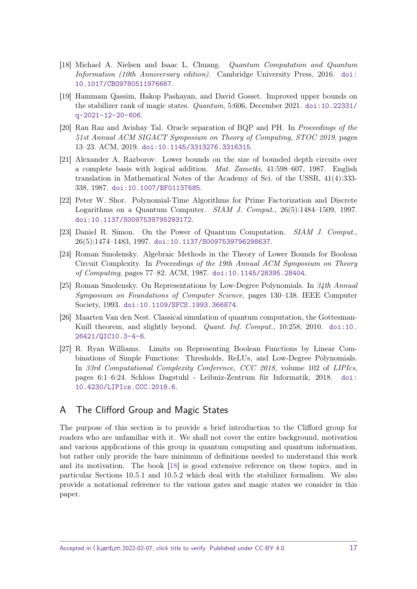- <span id="page-16-10"></span>[18] Michael A. Nielsen and Isaac L. Chuang. Quantum Computation and Quantum Information (10th Anniversary edition). Cambridge University Press, 2016. [doi:](https://doi.org/10.1017/CBO9780511976667) [10.1017/CBO9780511976667](https://doi.org/10.1017/CBO9780511976667).
- <span id="page-16-4"></span>[19] Hammam Qassim, Hakop Pashayan, and David Gosset. Improved upper bounds on the stabilizer rank of magic states. Quantum, 5:606, December 2021. [doi:10.22331/](https://doi.org/10.22331/q-2021-12-20-606) [q-2021-12-20-606](https://doi.org/10.22331/q-2021-12-20-606).
- <span id="page-16-2"></span>[20] Ran Raz and Avishay Tal. Oracle separation of BQP and PH. In Proceedings of the 51st Annual ACM SIGACT Symposium on Theory of Computing, STOC 2019, pages 13–23. ACM, 2019. [doi:10.1145/3313276.3316315](https://doi.org/10.1145/3313276.3316315).
- <span id="page-16-6"></span>[21] Alexander A. Razborov. Lower bounds on the size of bounded depth circuits over a complete basis with logical addition. Mat. Zametki, 41:598–607, 1987. English translation in Mathematical Notes of the Academy of Sci. of the USSR, 41(4):333- 338, 1987. [doi:10.1007/BF01137685](https://doi.org/10.1007/BF01137685).
- <span id="page-16-0"></span>[22] Peter W. Shor. Polynomial-Time Algorithms for Prime Factorization and Discrete Logarithms on a Quantum Computer. SIAM J. Comput., 26(5):1484–1509, 1997. [doi:10.1137/S0097539795293172](https://doi.org/10.1137/S0097539795293172).
- <span id="page-16-1"></span>[23] Daniel R. Simon. On the Power of Quantum Computation. SIAM J. Comput., 26(5):1474–1483, 1997. [doi:10.1137/S0097539796298637](https://doi.org/10.1137/S0097539796298637).
- <span id="page-16-7"></span>[24] Roman Smolensky. Algebraic Methods in the Theory of Lower Bounds for Boolean Circuit Complexity. In Proceedings of the 19th Annual ACM Symposium on Theory of Computing, pages 77–82. ACM, 1987. [doi:10.1145/28395.28404](https://doi.org/10.1145/28395.28404).
- <span id="page-16-8"></span>[25] Roman Smolensky. On Representations by Low-Degree Polynomials. In 34th Annual Symposium on Foundations of Computer Science, pages 130–138. IEEE Computer Society, 1993. [doi:10.1109/SFCS.1993.366874](https://doi.org/10.1109/SFCS.1993.366874).
- <span id="page-16-5"></span>[26] Maarten Van den Nest. Classical simulation of quantum computation, the GottesmanKnill theorem, and slightly beyond. Quant. Inf. Comput., 10:258, 2010. [doi:10.](https://doi.org/10.26421/QIC10.3-4-6) [26421/QIC10.3-4-6](https://doi.org/10.26421/QIC10.3-4-6).
- <span id="page-16-9"></span>[27] R. Ryan Williams. Limits on Representing Boolean Functions by Linear Combinations of Simple Functions: Thresholds, ReLUs, and Low-Degree Polynomials. In 33rd Computational Complexity Conference, CCC 2018, volume 102 of LIPIcs, pages 6:1–6:24. Schloss Dagstuhl - Leibniz-Zentrum für Informatik, 2018. [doi:](https://doi.org/10.4230/LIPIcs.CCC.2018.6) [10.4230/LIPIcs.CCC.2018.6](https://doi.org/10.4230/LIPIcs.CCC.2018.6).

# <span id="page-16-3"></span>A The Clifford Group and Magic States

The purpose of this section is to provide a brief introduction to the Clifford group for readers who are unfamiliar with it. We shall not cover the entire background, motivation and various applications of this group in quantum computing and quantum information, but rather only provide the bare minimum of definitions needed to understand this work and its motivation. The book [\[18\]](#page-16-10) is good extensive reference on these topics, and in particular Sections 10.5.1 and 10.5.2 which deal with the stabilizer formalism. We also provide a notational reference to the various gates and magic states we consider in this paper.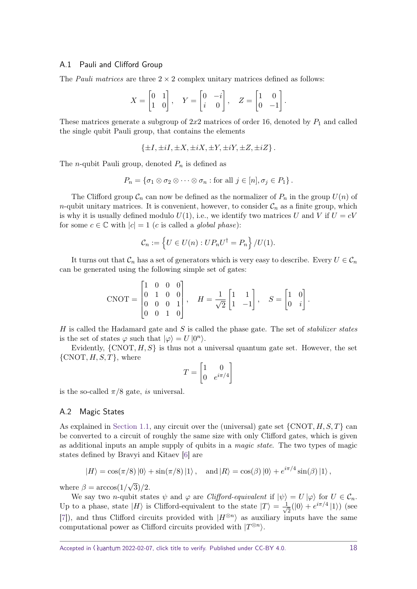#### A.1 Pauli and Clifford Group

The Pauli matrices are three  $2 \times 2$  complex unitary matrices defined as follows:

$$
X = \begin{bmatrix} 0 & 1 \\ 1 & 0 \end{bmatrix}, \quad Y = \begin{bmatrix} 0 & -i \\ i & 0 \end{bmatrix}, \quad Z = \begin{bmatrix} 1 & 0 \\ 0 & -1 \end{bmatrix}.
$$

These matrices generate a subgroup of  $2x2$  matrices of order 16, denoted by  $P_1$  and called the single qubit Pauli group, that contains the elements

$$
\{\pm I, \pm iI, \pm X, \pm iX, \pm Y, \pm iY, \pm Z, \pm iZ\}.
$$

The *n*-qubit Pauli group, denoted *P<sup>n</sup>* is defined as

$$
P_n = \{ \sigma_1 \otimes \sigma_2 \otimes \cdots \otimes \sigma_n : \text{for all } j \in [n], \sigma_j \in P_1 \}.
$$

The Clifford group  $\mathcal{C}_n$  can now be defined as the normalizer of  $P_n$  in the group  $U(n)$  of *n*-qubit unitary matrices. It is convenient, however, to consider  $\mathcal{C}_n$  as a finite group, which is why it is usually defined modulo  $U(1)$ , i.e., we identify two matrices *U* and *V* if  $U = cV$ for some  $c \in \mathbb{C}$  with  $|c| = 1$  (*c* is called a *global phase*):

$$
\mathcal{C}_n := \left\{ U \in U(n) : UP_n U^\dagger = P_n \right\} / U(1).
$$

It turns out that  $\mathcal{C}_n$  has a set of generators which is very easy to describe. Every  $U \in \mathcal{C}_n$ can be generated using the following simple set of gates:

$$
CNOT = \begin{bmatrix} 1 & 0 & 0 & 0 \\ 0 & 1 & 0 & 0 \\ 0 & 0 & 0 & 1 \\ 0 & 0 & 1 & 0 \end{bmatrix}, \quad H = \frac{1}{\sqrt{2}} \begin{bmatrix} 1 & 1 \\ 1 & -1 \end{bmatrix}, \quad S = \begin{bmatrix} 1 & 0 \\ 0 & i \end{bmatrix}.
$$

*H* is called the Hadamard gate and *S* is called the phase gate. The set of stabilizer states is the set of states  $\varphi$  such that  $|\varphi\rangle = U |0^n\rangle$ .

Evidently,  $\{CNOT, H, S\}$  is thus not a universal quantum gate set. However, the set  $\{CNOT, H, S, T\}$ , where

$$
T = \begin{bmatrix} 1 & 0 \\ 0 & e^{i\pi/4} \end{bmatrix}
$$

is the so-called  $\pi/8$  gate, *is* universal.

#### A.2 Magic States

As explained in [Section 1.1,](#page-1-1) any circuit over the (universal) gate set {CNOT*, H, S, T*} can be converted to a circuit of roughly the same size with only Clifford gates, which is given as additional inputs an ample supply of qubits in a *magic state*. The two types of magic states defined by Bravyi and Kitaev [\[6\]](#page-15-9) are

$$
|H\rangle = \cos(\pi/8) |0\rangle + \sin(\pi/8) |1\rangle
$$
, and  $|R\rangle = \cos(\beta) |0\rangle + e^{i\pi/4} \sin(\beta) |1\rangle$ ,

where  $\beta = \arccos(1/$ √ 3)*/*2.

We say two *n*-qubit states  $\psi$  and  $\varphi$  are Clifford-equivalent if  $|\psi\rangle = U |\varphi\rangle$  for  $U \in \mathcal{C}_n$ . Up to a phase, state  $|H\rangle$  is Clifford-equivalent to the state  $|T\rangle = \frac{1}{\sqrt{2}}$  $\frac{1}{2}(|0\rangle + e^{i\pi/4}|1\rangle)$  (see [\[7\]](#page-15-0)), and thus Clifford circuits provided with  $|H^{\otimes n}\rangle$  as auxiliary inputs have the same computational power as Clifford circuits provided with  $|T^{\otimes n}\rangle$ .